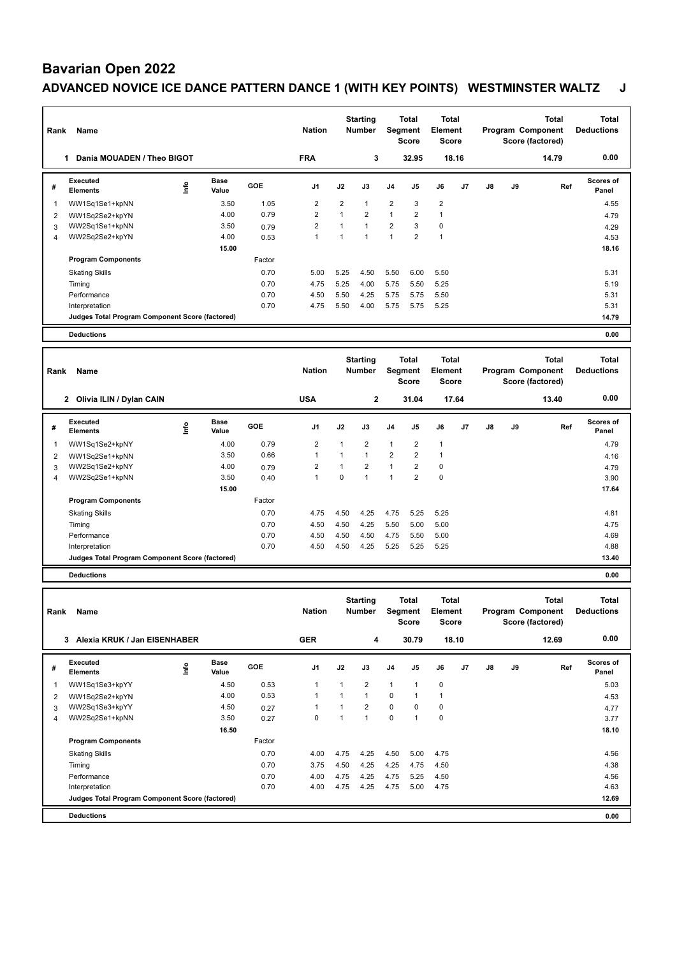## **Bavarian Open 2022 ADVANCED NOVICE ICE DANCE PATTERN DANCE 1 (WITH KEY POINTS) WESTMINSTER WALTZ J**

| Rank | Name                                            |    |                      |            | <b>Nation</b>  |                | <b>Starting</b><br><b>Number</b> | Segment        | <b>Total</b><br>Score | <b>Total</b><br><b>Element</b><br><b>Score</b> |       |    |    | <b>Total</b><br>Program Component<br>Score (factored) | <b>Total</b><br><b>Deductions</b> |
|------|-------------------------------------------------|----|----------------------|------------|----------------|----------------|----------------------------------|----------------|-----------------------|------------------------------------------------|-------|----|----|-------------------------------------------------------|-----------------------------------|
|      | Dania MOUADEN / Theo BIGOT<br>1                 |    |                      |            | <b>FRA</b>     |                | 3                                |                | 32.95                 |                                                | 18.16 |    |    | 14.79                                                 | 0.00                              |
| #    | Executed<br><b>Elements</b>                     | ۴ů | <b>Base</b><br>Value | <b>GOE</b> | J <sub>1</sub> | J2             | J3                               | J <sub>4</sub> | J <sub>5</sub>        | J6                                             | J7    | J8 | J9 | Ref                                                   | Scores of<br>Panel                |
| 1    | WW1Sq1Se1+kpNN                                  |    | 3.50                 | 1.05       | $\overline{2}$ | $\overline{2}$ | $\overline{1}$                   | $\overline{2}$ | 3                     | $\overline{2}$                                 |       |    |    |                                                       | 4.55                              |
| 2    | WW1Sq2Se2+kpYN                                  |    | 4.00                 | 0.79       | $\overline{2}$ | $\overline{1}$ | $\overline{2}$                   | $\mathbf{1}$   | $\overline{2}$        | 1                                              |       |    |    |                                                       | 4.79                              |
| 3    | WW2Sq1Se1+kpNN                                  |    | 3.50                 | 0.79       | $\overline{2}$ |                | $\overline{ }$                   | $\overline{2}$ | 3                     | $\Omega$                                       |       |    |    |                                                       | 4.29                              |
| 4    | WW2Sq2Se2+kpYN                                  |    | 4.00                 | 0.53       | $\overline{1}$ |                |                                  | $\overline{ }$ | $\overline{2}$        | $\overline{1}$                                 |       |    |    |                                                       | 4.53                              |
|      |                                                 |    | 15.00                |            |                |                |                                  |                |                       |                                                |       |    |    |                                                       | 18.16                             |
|      | <b>Program Components</b>                       |    |                      | Factor     |                |                |                                  |                |                       |                                                |       |    |    |                                                       |                                   |
|      | <b>Skating Skills</b>                           |    |                      | 0.70       | 5.00           | 5.25           | 4.50                             | 5.50           | 6.00                  | 5.50                                           |       |    |    |                                                       | 5.31                              |
|      | Timing                                          |    |                      | 0.70       | 4.75           | 5.25           | 4.00                             | 5.75           | 5.50                  | 5.25                                           |       |    |    |                                                       | 5.19                              |
|      | Performance                                     |    |                      | 0.70       | 4.50           | 5.50           | 4.25                             | 5.75           | 5.75                  | 5.50                                           |       |    |    |                                                       | 5.31                              |
|      | Interpretation                                  |    |                      | 0.70       | 4.75           | 5.50           | 4.00                             | 5.75           | 5.75                  | 5.25                                           |       |    |    |                                                       | 5.31                              |
|      | Judges Total Program Component Score (factored) |    |                      |            |                |                |                                  |                |                       |                                                |       |    |    |                                                       | 14.79                             |
|      | <b>Deductions</b>                               |    |                      |            |                |                |                                  |                |                       |                                                |       |    |    |                                                       | 0.00                              |
|      |                                                 |    |                      |            |                |                |                                  |                |                       |                                                |       |    |    |                                                       |                                   |

| Rank | Name                                            |      |               |            | <b>Nation</b>  |              | <b>Starting</b><br><b>Number</b> |                | <b>Total</b><br>Segment<br><b>Score</b> | <b>Total</b><br>Element<br><b>Score</b> |                |    |    | <b>Total</b><br>Program Component<br>Score (factored) | <b>Total</b><br><b>Deductions</b> |
|------|-------------------------------------------------|------|---------------|------------|----------------|--------------|----------------------------------|----------------|-----------------------------------------|-----------------------------------------|----------------|----|----|-------------------------------------------------------|-----------------------------------|
|      | 2 Olivia ILIN / Dylan CAIN                      |      |               |            | <b>USA</b>     |              | $\mathbf{2}$                     |                | 31.04                                   |                                         | 17.64          |    |    | 13.40                                                 | 0.00                              |
| #    | Executed<br><b>Elements</b>                     | lnfo | Base<br>Value | <b>GOE</b> | J <sub>1</sub> | J2           | J3                               | J <sub>4</sub> | J5                                      | J6                                      | J <sub>7</sub> | J8 | J9 | Ref                                                   | <b>Scores of</b><br>Panel         |
|      | WW1Sq1Se2+kpNY                                  |      | 4.00          | 0.79       | $\overline{2}$ | 1            | $\overline{2}$                   | $\mathbf{1}$   | $\overline{2}$                          |                                         |                |    |    |                                                       | 4.79                              |
| 2    | WW1Sq2Se1+kpNN                                  |      | 3.50          | 0.66       |                | $\mathbf{1}$ |                                  | $\overline{2}$ | $\overline{2}$                          |                                         |                |    |    |                                                       | 4.16                              |
| 3    | WW2Sq1Se2+kpNY                                  |      | 4.00          | 0.79       | 2              | $\mathbf{1}$ | $\overline{2}$                   | $\mathbf{1}$   | $\overline{2}$                          | 0                                       |                |    |    |                                                       | 4.79                              |
| 4    | WW2Sq2Se1+kpNN                                  |      | 3.50          | 0.40       |                | 0            |                                  | $\mathbf{1}$   | $\overline{2}$                          | $\Omega$                                |                |    |    |                                                       | 3.90                              |
|      |                                                 |      | 15.00         |            |                |              |                                  |                |                                         |                                         |                |    |    |                                                       | 17.64                             |
|      | <b>Program Components</b>                       |      |               | Factor     |                |              |                                  |                |                                         |                                         |                |    |    |                                                       |                                   |
|      | <b>Skating Skills</b>                           |      |               | 0.70       | 4.75           | 4.50         | 4.25                             | 4.75           | 5.25                                    | 5.25                                    |                |    |    |                                                       | 4.81                              |
|      | Timing                                          |      |               | 0.70       | 4.50           | 4.50         | 4.25                             | 5.50           | 5.00                                    | 5.00                                    |                |    |    |                                                       | 4.75                              |
|      | Performance                                     |      |               | 0.70       | 4.50           | 4.50         | 4.50                             | 4.75           | 5.50                                    | 5.00                                    |                |    |    |                                                       | 4.69                              |
|      | Interpretation                                  |      |               | 0.70       | 4.50           | 4.50         | 4.25                             | 5.25           | 5.25                                    | 5.25                                    |                |    |    |                                                       | 4.88                              |
|      | Judges Total Program Component Score (factored) |      |               |            |                |              |                                  |                |                                         |                                         |                |    |    |                                                       | 13.40                             |
|      | <b>Deductions</b>                               |      |               |            |                |              |                                  |                |                                         |                                         |                |    |    |                                                       | 0.00                              |

| Rank | Name                                            |             |                      |            | <b>Nation</b>  |                | <b>Starting</b><br><b>Number</b> | Segment        | Total<br><b>Score</b> | <b>Total</b><br>Element<br><b>Score</b> |       |    |    | Total<br>Program Component<br>Score (factored) | <b>Total</b><br><b>Deductions</b> |
|------|-------------------------------------------------|-------------|----------------------|------------|----------------|----------------|----------------------------------|----------------|-----------------------|-----------------------------------------|-------|----|----|------------------------------------------------|-----------------------------------|
|      | Alexia KRUK / Jan EISENHABER<br>3               |             |                      |            | <b>GER</b>     |                | 4                                |                | 30.79                 |                                         | 18.10 |    |    | 12.69                                          | 0.00                              |
| #    | Executed<br><b>Elements</b>                     | <u>lnfo</u> | <b>Base</b><br>Value | <b>GOE</b> | J <sub>1</sub> | J2             | J3                               | J <sub>4</sub> | J <sub>5</sub>        | J6                                      | J7    | J8 | J9 | Ref                                            | <b>Scores of</b><br>Panel         |
| 1    | WW1Sq1Se3+kpYY                                  |             | 4.50                 | 0.53       | 1              | $\mathbf{1}$   | $\overline{2}$                   | 1              | 1                     | 0                                       |       |    |    |                                                | 5.03                              |
| 2    | WW1Sq2Se2+kpYN                                  |             | 4.00                 | 0.53       | 1              | $\overline{1}$ | $\overline{ }$                   | $\mathbf 0$    |                       | 1                                       |       |    |    |                                                | 4.53                              |
| 3    | WW2Sq1Se3+kpYY                                  |             | 4.50                 | 0.27       | 1              | 1              | $\overline{2}$                   | $\mathbf 0$    | $\Omega$              | 0                                       |       |    |    |                                                | 4.77                              |
| 4    | WW2Sq2Se1+kpNN                                  |             | 3.50                 | 0.27       | $\Omega$       | 1              | $\overline{1}$                   | $\Omega$       | 1                     | $\mathbf 0$                             |       |    |    |                                                | 3.77                              |
|      |                                                 |             | 16.50                |            |                |                |                                  |                |                       |                                         |       |    |    |                                                | 18.10                             |
|      | <b>Program Components</b>                       |             |                      | Factor     |                |                |                                  |                |                       |                                         |       |    |    |                                                |                                   |
|      | <b>Skating Skills</b>                           |             |                      | 0.70       | 4.00           | 4.75           | 4.25                             | 4.50           | 5.00                  | 4.75                                    |       |    |    |                                                | 4.56                              |
|      | Timing                                          |             |                      | 0.70       | 3.75           | 4.50           | 4.25                             | 4.25           | 4.75                  | 4.50                                    |       |    |    |                                                | 4.38                              |
|      | Performance                                     |             |                      | 0.70       | 4.00           | 4.75           | 4.25                             | 4.75           | 5.25                  | 4.50                                    |       |    |    |                                                | 4.56                              |
|      | Interpretation                                  |             |                      | 0.70       | 4.00           | 4.75           | 4.25                             | 4.75           | 5.00                  | 4.75                                    |       |    |    |                                                | 4.63                              |
|      | Judges Total Program Component Score (factored) |             |                      |            |                |                |                                  |                |                       |                                         |       |    |    |                                                | 12.69                             |
|      | <b>Deductions</b>                               |             |                      |            |                |                |                                  |                |                       |                                         |       |    |    |                                                | 0.00                              |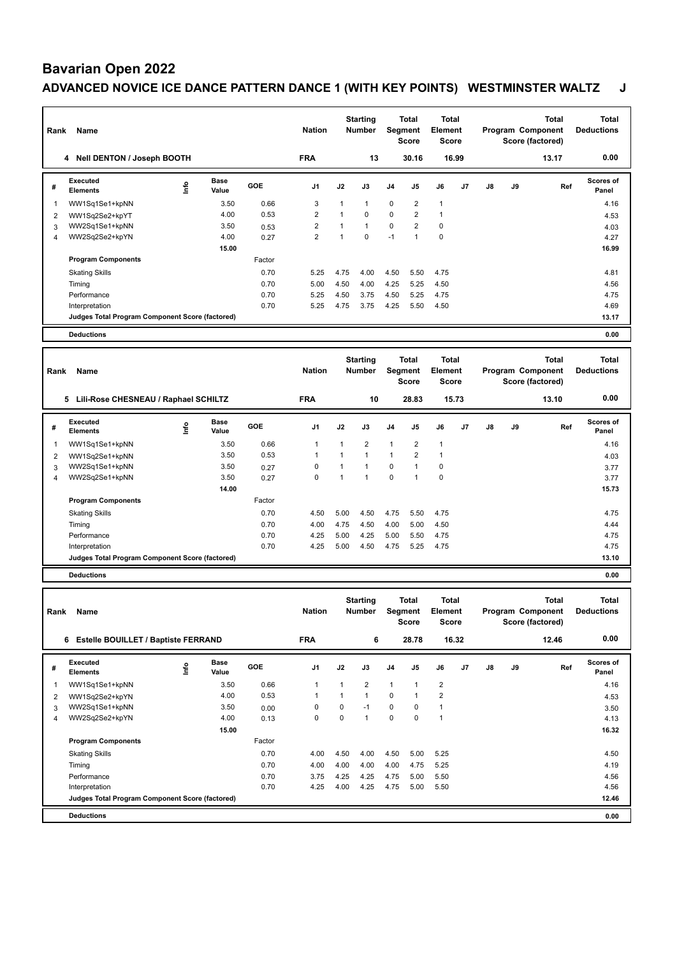# **Bavarian Open 2022**

## **ADVANCED NOVICE ICE DANCE PATTERN DANCE 1 (WITH KEY POINTS) WESTMINSTER WALTZ J**

| Rank | Name                                            |            |                      |        | <b>Nation</b>  |      | <b>Starting</b><br><b>Number</b> | Segment        | Total<br><b>Score</b> | Total<br>Element<br><b>Score</b> |                |    |    | <b>Total</b><br>Program Component<br>Score (factored) | <b>Total</b><br><b>Deductions</b> |
|------|-------------------------------------------------|------------|----------------------|--------|----------------|------|----------------------------------|----------------|-----------------------|----------------------------------|----------------|----|----|-------------------------------------------------------|-----------------------------------|
|      | 4 Nell DENTON / Joseph BOOTH                    |            |                      |        | <b>FRA</b>     |      | 13                               |                | 30.16                 |                                  | 16.99          |    |    | 13.17                                                 | 0.00                              |
| #    | Executed<br><b>Elements</b>                     | <u>f</u> o | <b>Base</b><br>Value | GOE    | J <sub>1</sub> | J2   | J3                               | J <sub>4</sub> | J <sub>5</sub>        | J6                               | J <sub>7</sub> | J8 | J9 | Ref                                                   | <b>Scores of</b><br>Panel         |
|      | WW1Sq1Se1+kpNN                                  |            | 3.50                 | 0.66   | 3              |      | 1                                | $\mathbf 0$    | $\overline{2}$        | $\mathbf{1}$                     |                |    |    |                                                       | 4.16                              |
| 2    | WW1Sq2Se2+kpYT                                  |            | 4.00                 | 0.53   | 2              |      | $\Omega$                         | $\mathbf 0$    | $\overline{2}$        | 1                                |                |    |    |                                                       | 4.53                              |
| 3    | WW2Sq1Se1+kpNN                                  |            | 3.50                 | 0.53   | $\overline{2}$ |      | $\mathbf{1}$                     | $\mathbf 0$    | $\overline{2}$        | 0                                |                |    |    |                                                       | 4.03                              |
| 4    | WW2Sq2Se2+kpYN                                  |            | 4.00                 | 0.27   | $\overline{2}$ |      | $\Omega$                         | $-1$           | $\overline{1}$        | $\mathbf 0$                      |                |    |    |                                                       | 4.27                              |
|      |                                                 |            | 15.00                |        |                |      |                                  |                |                       |                                  |                |    |    |                                                       | 16.99                             |
|      | <b>Program Components</b>                       |            |                      | Factor |                |      |                                  |                |                       |                                  |                |    |    |                                                       |                                   |
|      | <b>Skating Skills</b>                           |            |                      | 0.70   | 5.25           | 4.75 | 4.00                             | 4.50           | 5.50                  | 4.75                             |                |    |    |                                                       | 4.81                              |
|      | Timing                                          |            |                      | 0.70   | 5.00           | 4.50 | 4.00                             | 4.25           | 5.25                  | 4.50                             |                |    |    |                                                       | 4.56                              |
|      | Performance                                     |            |                      | 0.70   | 5.25           | 4.50 | 3.75                             | 4.50           | 5.25                  | 4.75                             |                |    |    |                                                       | 4.75                              |
|      | Interpretation                                  |            |                      | 0.70   | 5.25           | 4.75 | 3.75                             | 4.25           | 5.50                  | 4.50                             |                |    |    |                                                       | 4.69                              |
|      | Judges Total Program Component Score (factored) |            |                      |        |                |      |                                  |                |                       |                                  |                |    |    |                                                       | 13.17                             |
|      | <b>Deductions</b>                               |            |                      |        |                |      |                                  |                |                       |                                  |                |    |    |                                                       | 0.00                              |
|      |                                                 |            |                      |        |                |      |                                  |                |                       |                                  |                |    |    |                                                       |                                   |
|      |                                                 |            |                      |        |                |      | .                                |                |                       | .                                |                |    |    |                                                       | .                                 |

| Rank | Name                                            |      |                      |            | <b>Nation</b>  |      | <b>Starting</b><br><b>Number</b> |                | Total<br>Segment<br><b>Score</b> | <b>Total</b><br>Element<br><b>Score</b> |       |    |    | Total<br>Program Component<br>Score (factored) | <b>Total</b><br><b>Deductions</b> |  |
|------|-------------------------------------------------|------|----------------------|------------|----------------|------|----------------------------------|----------------|----------------------------------|-----------------------------------------|-------|----|----|------------------------------------------------|-----------------------------------|--|
|      | 5<br>Lili-Rose CHESNEAU / Raphael SCHILTZ       |      |                      |            | <b>FRA</b>     |      | 10                               |                | 28.83                            |                                         | 15.73 |    |    | 13.10                                          | 0.00                              |  |
| #    | Executed<br><b>Elements</b>                     | lnfo | <b>Base</b><br>Value | <b>GOE</b> | J <sub>1</sub> | J2   | J3                               | J <sub>4</sub> | J5                               | J6                                      | J7    | J8 | J9 | Ref                                            | Scores of<br>Panel                |  |
|      | WW1Sq1Se1+kpNN                                  |      | 3.50                 | 0.66       |                | 1    | $\overline{2}$                   | $\overline{1}$ | $\overline{2}$                   |                                         |       |    |    |                                                | 4.16                              |  |
| 2    | WW1Sq2Se1+kpNN                                  |      | 3.50                 | 0.53       |                | 1    | $\overline{1}$                   | $\mathbf{1}$   | $\overline{2}$                   |                                         |       |    |    |                                                | 4.03                              |  |
| 3    | WW2Sq1Se1+kpNN                                  |      | 3.50                 | 0.27       | $\Omega$       | 1    | 1                                | $\Omega$       |                                  | $\Omega$                                |       |    |    |                                                | 3.77                              |  |
| 4    | WW2Sq2Se1+kpNN                                  |      | 3.50                 | 0.27       | 0              | 1    | 1                                | $\mathbf 0$    |                                  | 0                                       |       |    |    |                                                | 3.77                              |  |
|      |                                                 |      | 14.00                |            |                |      |                                  |                |                                  |                                         |       |    |    |                                                | 15.73                             |  |
|      | <b>Program Components</b>                       |      |                      | Factor     |                |      |                                  |                |                                  |                                         |       |    |    |                                                |                                   |  |
|      | <b>Skating Skills</b>                           |      |                      | 0.70       | 4.50           | 5.00 | 4.50                             | 4.75           | 5.50                             | 4.75                                    |       |    |    |                                                | 4.75                              |  |
|      | Timing                                          |      |                      | 0.70       | 4.00           | 4.75 | 4.50                             | 4.00           | 5.00                             | 4.50                                    |       |    |    |                                                | 4.44                              |  |
|      | Performance                                     |      |                      | 0.70       | 4.25           | 5.00 | 4.25                             | 5.00           | 5.50                             | 4.75                                    |       |    |    |                                                | 4.75                              |  |
|      | Interpretation                                  |      |                      | 0.70       | 4.25           | 5.00 | 4.50                             | 4.75           | 5.25                             | 4.75                                    |       |    |    |                                                | 4.75                              |  |
|      | Judges Total Program Component Score (factored) |      |                      |            |                |      |                                  |                |                                  |                                         |       |    |    |                                                | 13.10                             |  |
|      | <b>Deductions</b>                               |      |                      |            |                |      |                                  |                |                                  |                                         |       |    |    |                                                | 0.00                              |  |

| Rank | Name                                            |      |                      |            | <b>Nation</b>  |          | <b>Starting</b><br><b>Number</b> | Segment        | Total<br><b>Score</b> | Total<br>Element<br><b>Score</b> |       |    |    | <b>Total</b><br>Program Component<br>Score (factored) | <b>Total</b><br><b>Deductions</b> |
|------|-------------------------------------------------|------|----------------------|------------|----------------|----------|----------------------------------|----------------|-----------------------|----------------------------------|-------|----|----|-------------------------------------------------------|-----------------------------------|
|      | 6 Estelle BOUILLET / Baptiste FERRAND           |      |                      |            | <b>FRA</b>     |          | 6                                |                | 28.78                 |                                  | 16.32 |    |    | 12.46                                                 | 0.00                              |
| #    | Executed<br><b>Elements</b>                     | lnfo | <b>Base</b><br>Value | <b>GOE</b> | J <sub>1</sub> | J2       | J3                               | J <sub>4</sub> | J5                    | J6                               | J7    | J8 | J9 | Ref                                                   | <b>Scores of</b><br>Panel         |
| 1    | WW1Sq1Se1+kpNN                                  |      | 3.50                 | 0.66       | 1              | 1        | $\overline{2}$                   | $\mathbf{1}$   | 1                     | $\overline{2}$                   |       |    |    |                                                       | 4.16                              |
| 2    | WW1Sq2Se2+kpYN                                  |      | 4.00                 | 0.53       | 1              | 1        | $\overline{1}$                   | 0              | 1                     | $\overline{2}$                   |       |    |    |                                                       | 4.53                              |
| 3    | WW2Sq1Se1+kpNN                                  |      | 3.50                 | 0.00       | $\Omega$       | $\Omega$ | $-1$                             | $\Omega$       | $\Omega$              | 1                                |       |    |    |                                                       | 3.50                              |
| 4    | WW2Sq2Se2+kpYN                                  |      | 4.00                 | 0.13       | 0              | $\Omega$ | 1                                | 0              | $\Omega$              | 1                                |       |    |    |                                                       | 4.13                              |
|      |                                                 |      | 15.00                |            |                |          |                                  |                |                       |                                  |       |    |    |                                                       | 16.32                             |
|      | <b>Program Components</b>                       |      |                      | Factor     |                |          |                                  |                |                       |                                  |       |    |    |                                                       |                                   |
|      | <b>Skating Skills</b>                           |      |                      | 0.70       | 4.00           | 4.50     | 4.00                             | 4.50           | 5.00                  | 5.25                             |       |    |    |                                                       | 4.50                              |
|      | Timing                                          |      |                      | 0.70       | 4.00           | 4.00     | 4.00                             | 4.00           | 4.75                  | 5.25                             |       |    |    |                                                       | 4.19                              |
|      | Performance                                     |      |                      | 0.70       | 3.75           | 4.25     | 4.25                             | 4.75           | 5.00                  | 5.50                             |       |    |    |                                                       | 4.56                              |
|      | Interpretation                                  |      |                      | 0.70       | 4.25           | 4.00     | 4.25                             | 4.75           | 5.00                  | 5.50                             |       |    |    |                                                       | 4.56                              |
|      | Judges Total Program Component Score (factored) |      |                      |            |                |          |                                  |                |                       |                                  |       |    |    |                                                       | 12.46                             |
|      | <b>Deductions</b>                               |      |                      |            |                |          |                                  |                |                       |                                  |       |    |    |                                                       | 0.00                              |
|      |                                                 |      |                      |            |                |          |                                  |                |                       |                                  |       |    |    |                                                       |                                   |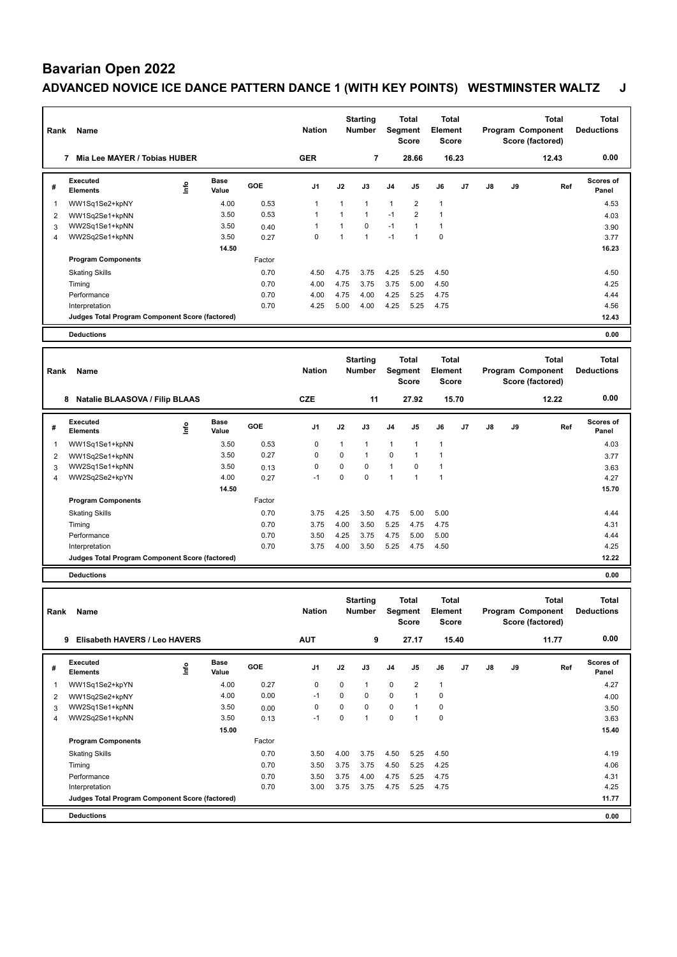## **Bavarian Open 2022 ADVANCED NOVICE ICE DANCE PATTERN DANCE 1 (WITH KEY POINTS) WESTMINSTER WALTZ J**

| Rank | Name                                            |      |                      |        | <b>Nation</b>  |                | <b>Starting</b><br><b>Number</b> | Segment        | <b>Total</b><br><b>Score</b> | <b>Total</b><br>Element<br><b>Score</b> |                |    |    | <b>Total</b><br>Program Component<br>Score (factored) | <b>Total</b><br><b>Deductions</b> |
|------|-------------------------------------------------|------|----------------------|--------|----------------|----------------|----------------------------------|----------------|------------------------------|-----------------------------------------|----------------|----|----|-------------------------------------------------------|-----------------------------------|
|      | Mia Lee MAYER / Tobias HUBER<br>7               |      |                      |        | <b>GER</b>     |                | $\overline{7}$                   |                | 28.66                        |                                         | 16.23          |    |    | 12.43                                                 | 0.00                              |
| #    | <b>Executed</b><br><b>Elements</b>              | ١nfo | <b>Base</b><br>Value | GOE    | J <sub>1</sub> | J2             | J3                               | J <sub>4</sub> | J5                           | J6                                      | J <sub>7</sub> | J8 | J9 | Ref                                                   | Scores of<br>Panel                |
| 1    | WW1Sq1Se2+kpNY                                  |      | 4.00                 | 0.53   | -1             | $\mathbf{1}$   | $\overline{1}$                   | $\mathbf{1}$   | $\overline{2}$               | $\mathbf{1}$                            |                |    |    |                                                       | 4.53                              |
| 2    | WW1Sq2Se1+kpNN                                  |      | 3.50                 | 0.53   | 1              | $\overline{1}$ | $\mathbf{1}$                     | $-1$           | $\overline{2}$               |                                         |                |    |    |                                                       | 4.03                              |
| 3    | WW2Sq1Se1+kpNN                                  |      | 3.50                 | 0.40   |                | $\overline{1}$ | $\mathbf 0$                      | $-1$           | $\mathbf{1}$                 | 1                                       |                |    |    |                                                       | 3.90                              |
| 4    | WW2Sq2Se1+kpNN                                  |      | 3.50                 | 0.27   | $\mathbf 0$    | 1              | $\overline{1}$                   | $-1$           | $\mathbf{1}$                 | 0                                       |                |    |    |                                                       | 3.77                              |
|      |                                                 |      | 14.50                |        |                |                |                                  |                |                              |                                         |                |    |    |                                                       | 16.23                             |
|      | <b>Program Components</b>                       |      |                      | Factor |                |                |                                  |                |                              |                                         |                |    |    |                                                       |                                   |
|      | <b>Skating Skills</b>                           |      |                      | 0.70   | 4.50           | 4.75           | 3.75                             | 4.25           | 5.25                         | 4.50                                    |                |    |    |                                                       | 4.50                              |
|      | Timing                                          |      |                      | 0.70   | 4.00           | 4.75           | 3.75                             | 3.75           | 5.00                         | 4.50                                    |                |    |    |                                                       | 4.25                              |
|      | Performance                                     |      |                      | 0.70   | 4.00           | 4.75           | 4.00                             | 4.25           | 5.25                         | 4.75                                    |                |    |    |                                                       | 4.44                              |
|      | Interpretation                                  |      |                      | 0.70   | 4.25           | 5.00           | 4.00                             | 4.25           | 5.25                         | 4.75                                    |                |    |    |                                                       | 4.56                              |
|      | Judges Total Program Component Score (factored) |      |                      |        |                |                |                                  |                |                              |                                         |                |    |    |                                                       | 12.43                             |
|      | <b>Deductions</b>                               |      |                      |        |                |                |                                  |                |                              |                                         |                |    |    |                                                       | 0.00                              |
|      |                                                 |      |                      |        |                |                |                                  |                |                              |                                         |                |    |    |                                                       |                                   |

| Rank | Name                                            |      |                      |            | <b>Nation</b>  |              | <b>Starting</b><br><b>Number</b> |                | <b>Total</b><br>Segment<br><b>Score</b> | <b>Total</b><br>Element<br><b>Score</b> |                |    |    | <b>Total</b><br>Program Component<br>Score (factored) | <b>Total</b><br><b>Deductions</b> |  |
|------|-------------------------------------------------|------|----------------------|------------|----------------|--------------|----------------------------------|----------------|-----------------------------------------|-----------------------------------------|----------------|----|----|-------------------------------------------------------|-----------------------------------|--|
|      | <b>Natalie BLAASOVA / Filip BLAAS</b><br>8      |      |                      |            | <b>CZE</b>     |              | 11                               |                | 27.92                                   |                                         | 15.70          |    |    | 12.22                                                 | 0.00                              |  |
| #    | Executed<br><b>Elements</b>                     | ١nf٥ | <b>Base</b><br>Value | <b>GOE</b> | J <sub>1</sub> | J2           | J3                               | J <sub>4</sub> | J <sub>5</sub>                          | J6                                      | J <sub>7</sub> | J8 | J9 | Ref                                                   | <b>Scores of</b><br>Panel         |  |
|      | WW1Sq1Se1+kpNN                                  |      | 3.50                 | 0.53       | $\mathbf 0$    | $\mathbf{1}$ | $\mathbf{1}$                     | $\overline{1}$ | 1                                       |                                         |                |    |    |                                                       | 4.03                              |  |
| 2    | WW1Sq2Se1+kpNN                                  |      | 3.50                 | 0.27       | $\mathbf 0$    | 0            | 1                                | $\mathbf 0$    | $\overline{1}$                          |                                         |                |    |    |                                                       | 3.77                              |  |
| 3    | WW2Sq1Se1+kpNN                                  |      | 3.50                 | 0.13       | $\Omega$       | 0            | $\Omega$                         | $\overline{1}$ | 0                                       |                                         |                |    |    |                                                       | 3.63                              |  |
| 4    | WW2Sq2Se2+kpYN                                  |      | 4.00                 | 0.27       | $-1$           | 0            | 0                                | 1              | 1                                       |                                         |                |    |    |                                                       | 4.27                              |  |
|      |                                                 |      | 14.50                |            |                |              |                                  |                |                                         |                                         |                |    |    |                                                       | 15.70                             |  |
|      | <b>Program Components</b>                       |      |                      | Factor     |                |              |                                  |                |                                         |                                         |                |    |    |                                                       |                                   |  |
|      | <b>Skating Skills</b>                           |      |                      | 0.70       | 3.75           | 4.25         | 3.50                             | 4.75           | 5.00                                    | 5.00                                    |                |    |    |                                                       | 4.44                              |  |
|      | Timing                                          |      |                      | 0.70       | 3.75           | 4.00         | 3.50                             | 5.25           | 4.75                                    | 4.75                                    |                |    |    |                                                       | 4.31                              |  |
|      | Performance                                     |      |                      | 0.70       | 3.50           | 4.25         | 3.75                             | 4.75           | 5.00                                    | 5.00                                    |                |    |    |                                                       | 4.44                              |  |
|      | Interpretation                                  |      |                      | 0.70       | 3.75           | 4.00         | 3.50                             | 5.25           | 4.75                                    | 4.50                                    |                |    |    |                                                       | 4.25                              |  |
|      | Judges Total Program Component Score (factored) |      |                      |            |                |              |                                  |                |                                         |                                         |                |    |    |                                                       | 12.22                             |  |
|      | <b>Deductions</b>                               |      |                      |            |                |              |                                  |                |                                         |                                         |                |    |    |                                                       | 0.00                              |  |

| Rank | Name                                            |      |               |            | <b>Nation</b>  |          | <b>Starting</b><br><b>Number</b> | Segment        | Total<br><b>Score</b> | Total<br>Element<br><b>Score</b> |                |               |    | <b>Total</b><br>Program Component<br>Score (factored) | Total<br><b>Deductions</b> |
|------|-------------------------------------------------|------|---------------|------------|----------------|----------|----------------------------------|----------------|-----------------------|----------------------------------|----------------|---------------|----|-------------------------------------------------------|----------------------------|
|      | Elisabeth HAVERS / Leo HAVERS<br>9              |      |               |            | <b>AUT</b>     |          | 9                                |                | 27.17                 |                                  | 15.40          |               |    | 11.77                                                 | 0.00                       |
| #    | <b>Executed</b><br><b>Elements</b>              | ١nfo | Base<br>Value | <b>GOE</b> | J <sub>1</sub> | J2       | J3                               | J <sub>4</sub> | J <sub>5</sub>        | J6                               | J <sub>7</sub> | $\mathsf{J}8$ | J9 | Ref                                                   | Scores of<br>Panel         |
| 1    | WW1Sq1Se2+kpYN                                  |      | 4.00          | 0.27       | 0              | $\Omega$ |                                  | $\mathbf 0$    | $\overline{2}$        | $\mathbf{1}$                     |                |               |    |                                                       | 4.27                       |
| 2    | WW1Sq2Se2+kpNY                                  |      | 4.00          | 0.00       | $-1$           | $\Omega$ | 0                                | $\mathbf 0$    | 1                     | $\mathbf 0$                      |                |               |    |                                                       | 4.00                       |
| 3    | WW2Sq1Se1+kpNN                                  |      | 3.50          | 0.00       | $\Omega$       | $\Omega$ | 0                                | $\mathbf 0$    | -1                    | $\mathbf 0$                      |                |               |    |                                                       | 3.50                       |
| 4    | WW2Sq2Se1+kpNN                                  |      | 3.50          | 0.13       | $-1$           | $\Omega$ | $\overline{A}$                   | $\mathbf 0$    | 4                     | $\mathbf 0$                      |                |               |    |                                                       | 3.63                       |
|      |                                                 |      | 15.00         |            |                |          |                                  |                |                       |                                  |                |               |    |                                                       | 15.40                      |
|      | <b>Program Components</b>                       |      |               | Factor     |                |          |                                  |                |                       |                                  |                |               |    |                                                       |                            |
|      | <b>Skating Skills</b>                           |      |               | 0.70       | 3.50           | 4.00     | 3.75                             | 4.50           | 5.25                  | 4.50                             |                |               |    |                                                       | 4.19                       |
|      | Timing                                          |      |               | 0.70       | 3.50           | 3.75     | 3.75                             | 4.50           | 5.25                  | 4.25                             |                |               |    |                                                       | 4.06                       |
|      | Performance                                     |      |               | 0.70       | 3.50           | 3.75     | 4.00                             | 4.75           | 5.25                  | 4.75                             |                |               |    |                                                       | 4.31                       |
|      | Interpretation                                  |      |               | 0.70       | 3.00           | 3.75     | 3.75                             | 4.75           | 5.25                  | 4.75                             |                |               |    |                                                       | 4.25                       |
|      | Judges Total Program Component Score (factored) |      |               |            |                |          |                                  |                |                       |                                  |                |               |    |                                                       | 11.77                      |
|      | <b>Deductions</b>                               |      |               |            |                |          |                                  |                |                       |                                  |                |               |    |                                                       | 0.00                       |